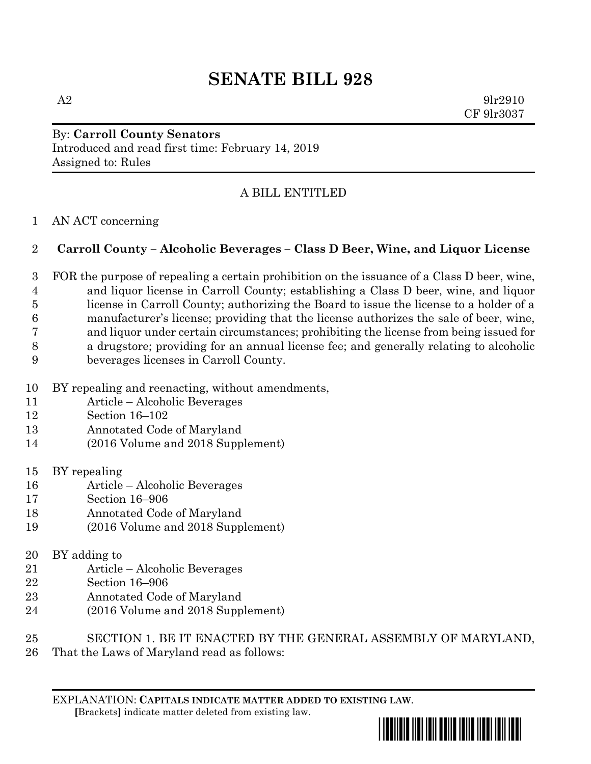# **SENATE BILL 928**

 $A2 \qquad \qquad 9\text{lr}2910$ CF 9lr3037

## By: **Carroll County Senators** Introduced and read first time: February 14, 2019 Assigned to: Rules

# A BILL ENTITLED

#### AN ACT concerning

### **Carroll County – Alcoholic Beverages – Class D Beer, Wine, and Liquor License**

- FOR the purpose of repealing a certain prohibition on the issuance of a Class D beer, wine, and liquor license in Carroll County; establishing a Class D beer, wine, and liquor license in Carroll County; authorizing the Board to issue the license to a holder of a manufacturer's license; providing that the license authorizes the sale of beer, wine, and liquor under certain circumstances; prohibiting the license from being issued for a drugstore; providing for an annual license fee; and generally relating to alcoholic beverages licenses in Carroll County.
- BY repealing and reenacting, without amendments,
- Article Alcoholic Beverages
- Section 16–102
- Annotated Code of Maryland
- (2016 Volume and 2018 Supplement)
- BY repealing
- Article Alcoholic Beverages
- Section 16–906
- Annotated Code of Maryland
- (2016 Volume and 2018 Supplement)

#### BY adding to

- Article Alcoholic Beverages
- Section 16–906
- Annotated Code of Maryland
- (2016 Volume and 2018 Supplement)
- SECTION 1. BE IT ENACTED BY THE GENERAL ASSEMBLY OF MARYLAND,
- That the Laws of Maryland read as follows: